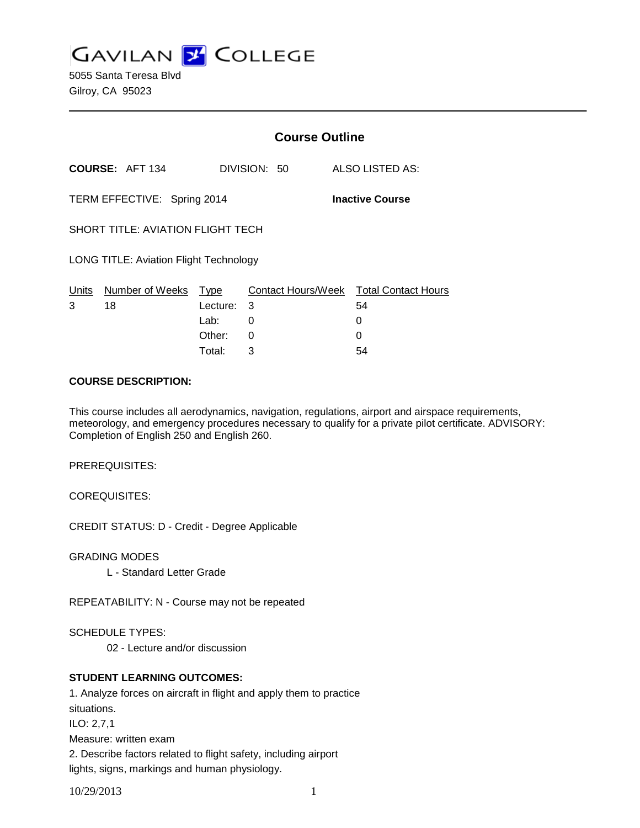**GAVILAN J COLLEGE** 

5055 Santa Teresa Blvd Gilroy, CA 95023

|                                                       |                                  |          | <b>Course Outline</b> |                                              |  |
|-------------------------------------------------------|----------------------------------|----------|-----------------------|----------------------------------------------|--|
|                                                       | <b>COURSE: AFT 134</b>           |          | DIVISION: 50          | ALSO LISTED AS:                              |  |
| TERM EFFECTIVE: Spring 2014<br><b>Inactive Course</b> |                                  |          |                       |                                              |  |
| <b>SHORT TITLE: AVIATION FLIGHT TECH</b>              |                                  |          |                       |                                              |  |
| <b>LONG TITLE: Aviation Flight Technology</b>         |                                  |          |                       |                                              |  |
| 3                                                     | Units Number of Weeks Type<br>18 | Lecture: | 3                     | Contact Hours/Week Total Contact Hours<br>54 |  |
|                                                       |                                  | Lab: __  | 0                     | 0                                            |  |
|                                                       |                                  | Other:   | 0                     | O                                            |  |
|                                                       |                                  | Total:   | 3                     | 54                                           |  |

#### **COURSE DESCRIPTION:**

This course includes all aerodynamics, navigation, regulations, airport and airspace requirements, meteorology, and emergency procedures necessary to qualify for a private pilot certificate. ADVISORY: Completion of English 250 and English 260.

PREREQUISITES:

COREQUISITES:

CREDIT STATUS: D - Credit - Degree Applicable

GRADING MODES

L - Standard Letter Grade

REPEATABILITY: N - Course may not be repeated

SCHEDULE TYPES:

02 - Lecture and/or discussion

# **STUDENT LEARNING OUTCOMES:**

1. Analyze forces on aircraft in flight and apply them to practice situations. ILO: 2,7,1 Measure: written exam 2. Describe factors related to flight safety, including airport lights, signs, markings and human physiology.

10/29/2013 1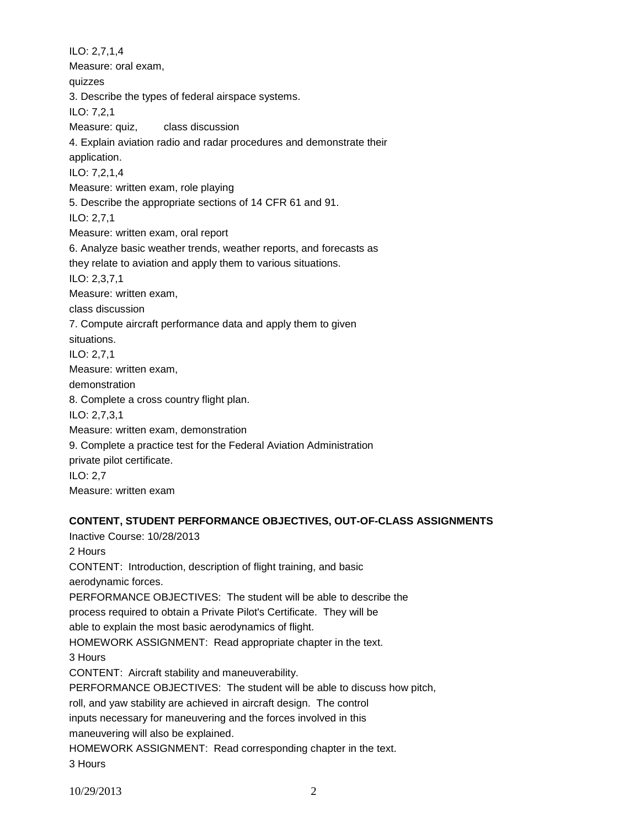ILO: 2,7,1,4 Measure: oral exam, quizzes 3. Describe the types of federal airspace systems. ILO: 7,2,1 Measure: quiz, class discussion 4. Explain aviation radio and radar procedures and demonstrate their application. ILO: 7,2,1,4 Measure: written exam, role playing 5. Describe the appropriate sections of 14 CFR 61 and 91. ILO: 2,7,1 Measure: written exam, oral report 6. Analyze basic weather trends, weather reports, and forecasts as they relate to aviation and apply them to various situations. ILO: 2,3,7,1 Measure: written exam, class discussion 7. Compute aircraft performance data and apply them to given situations. ILO: 2,7,1 Measure: written exam, demonstration 8. Complete a cross country flight plan. ILO: 2,7,3,1 Measure: written exam, demonstration 9. Complete a practice test for the Federal Aviation Administration private pilot certificate. ILO: 2,7 Measure: written exam

# **CONTENT, STUDENT PERFORMANCE OBJECTIVES, OUT-OF-CLASS ASSIGNMENTS**

Inactive Course: 10/28/2013 2 Hours CONTENT: Introduction, description of flight training, and basic aerodynamic forces. PERFORMANCE OBJECTIVES: The student will be able to describe the process required to obtain a Private Pilot's Certificate. They will be able to explain the most basic aerodynamics of flight. HOMEWORK ASSIGNMENT: Read appropriate chapter in the text. 3 Hours CONTENT: Aircraft stability and maneuverability. PERFORMANCE OBJECTIVES: The student will be able to discuss how pitch, roll, and yaw stability are achieved in aircraft design. The control inputs necessary for maneuvering and the forces involved in this maneuvering will also be explained. HOMEWORK ASSIGNMENT: Read corresponding chapter in the text. 3 Hours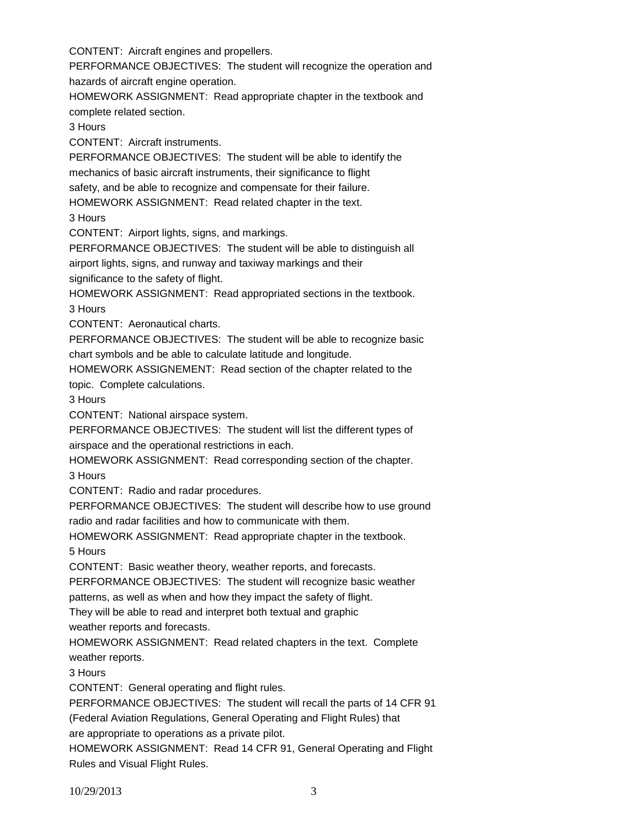CONTENT: Aircraft engines and propellers.

PERFORMANCE OBJECTIVES: The student will recognize the operation and hazards of aircraft engine operation.

HOMEWORK ASSIGNMENT: Read appropriate chapter in the textbook and complete related section.

3 Hours

CONTENT: Aircraft instruments.

PERFORMANCE OBJECTIVES: The student will be able to identify the mechanics of basic aircraft instruments, their significance to flight safety, and be able to recognize and compensate for their failure. HOMEWORK ASSIGNMENT: Read related chapter in the text.

3 Hours

CONTENT: Airport lights, signs, and markings.

PERFORMANCE OBJECTIVES: The student will be able to distinguish all

airport lights, signs, and runway and taxiway markings and their significance to the safety of flight.

HOMEWORK ASSIGNMENT: Read appropriated sections in the textbook. 3 Hours

CONTENT: Aeronautical charts.

PERFORMANCE OBJECTIVES: The student will be able to recognize basic chart symbols and be able to calculate latitude and longitude.

HOMEWORK ASSIGNEMENT: Read section of the chapter related to the topic. Complete calculations.

3 Hours

CONTENT: National airspace system.

PERFORMANCE OBJECTIVES: The student will list the different types of airspace and the operational restrictions in each.

HOMEWORK ASSIGNMENT: Read corresponding section of the chapter. 3 Hours

CONTENT: Radio and radar procedures.

PERFORMANCE OBJECTIVES: The student will describe how to use ground radio and radar facilities and how to communicate with them.

HOMEWORK ASSIGNMENT: Read appropriate chapter in the textbook. 5 Hours

CONTENT: Basic weather theory, weather reports, and forecasts.

PERFORMANCE OBJECTIVES: The student will recognize basic weather

patterns, as well as when and how they impact the safety of flight.

They will be able to read and interpret both textual and graphic

weather reports and forecasts.

HOMEWORK ASSIGNMENT: Read related chapters in the text. Complete weather reports.

3 Hours

CONTENT: General operating and flight rules.

PERFORMANCE OBJECTIVES: The student will recall the parts of 14 CFR 91

(Federal Aviation Regulations, General Operating and Flight Rules) that

are appropriate to operations as a private pilot.

HOMEWORK ASSIGNMENT: Read 14 CFR 91, General Operating and Flight Rules and Visual Flight Rules.

10/29/2013 3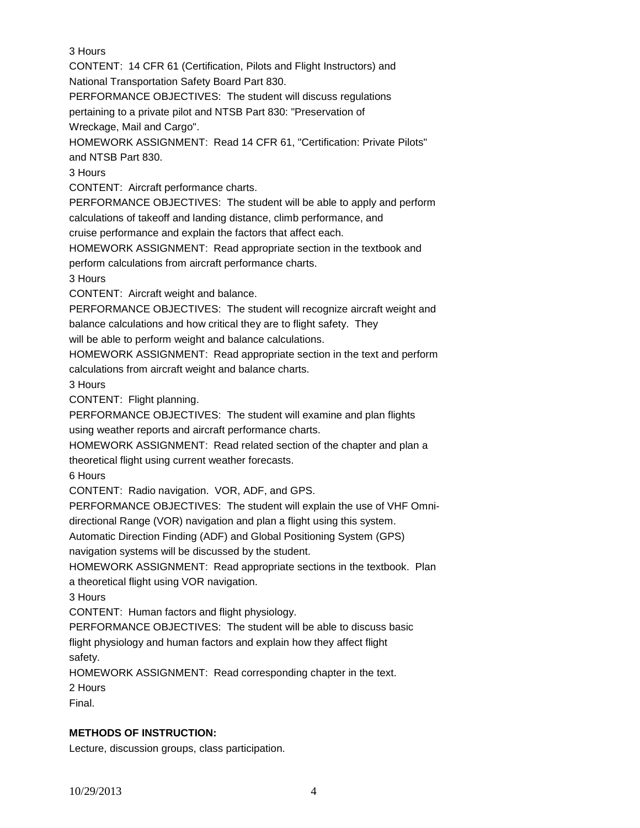3 Hours

CONTENT: 14 CFR 61 (Certification, Pilots and Flight Instructors) and

National Transportation Safety Board Part 830.

PERFORMANCE OBJECTIVES: The student will discuss regulations

pertaining to a private pilot and NTSB Part 830: "Preservation of

Wreckage, Mail and Cargo".

HOMEWORK ASSIGNMENT: Read 14 CFR 61, "Certification: Private Pilots" and NTSB Part 830.

3 Hours

CONTENT: Aircraft performance charts.

PERFORMANCE OBJECTIVES: The student will be able to apply and perform calculations of takeoff and landing distance, climb performance, and

cruise performance and explain the factors that affect each.

HOMEWORK ASSIGNMENT: Read appropriate section in the textbook and

perform calculations from aircraft performance charts.

3 Hours

CONTENT: Aircraft weight and balance.

PERFORMANCE OBJECTIVES: The student will recognize aircraft weight and balance calculations and how critical they are to flight safety. They

will be able to perform weight and balance calculations.

HOMEWORK ASSIGNMENT: Read appropriate section in the text and perform calculations from aircraft weight and balance charts.

3 Hours

CONTENT: Flight planning.

PERFORMANCE OBJECTIVES: The student will examine and plan flights using weather reports and aircraft performance charts.

HOMEWORK ASSIGNMENT: Read related section of the chapter and plan a theoretical flight using current weather forecasts.

6 Hours

CONTENT: Radio navigation. VOR, ADF, and GPS.

PERFORMANCE OBJECTIVES: The student will explain the use of VHF Omni-

directional Range (VOR) navigation and plan a flight using this system.

Automatic Direction Finding (ADF) and Global Positioning System (GPS)

navigation systems will be discussed by the student.

HOMEWORK ASSIGNMENT: Read appropriate sections in the textbook. Plan

a theoretical flight using VOR navigation.

3 Hours

CONTENT: Human factors and flight physiology.

PERFORMANCE OBJECTIVES: The student will be able to discuss basic

flight physiology and human factors and explain how they affect flight safety.

HOMEWORK ASSIGNMENT: Read corresponding chapter in the text.

2 Hours

Final.

# **METHODS OF INSTRUCTION:**

Lecture, discussion groups, class participation.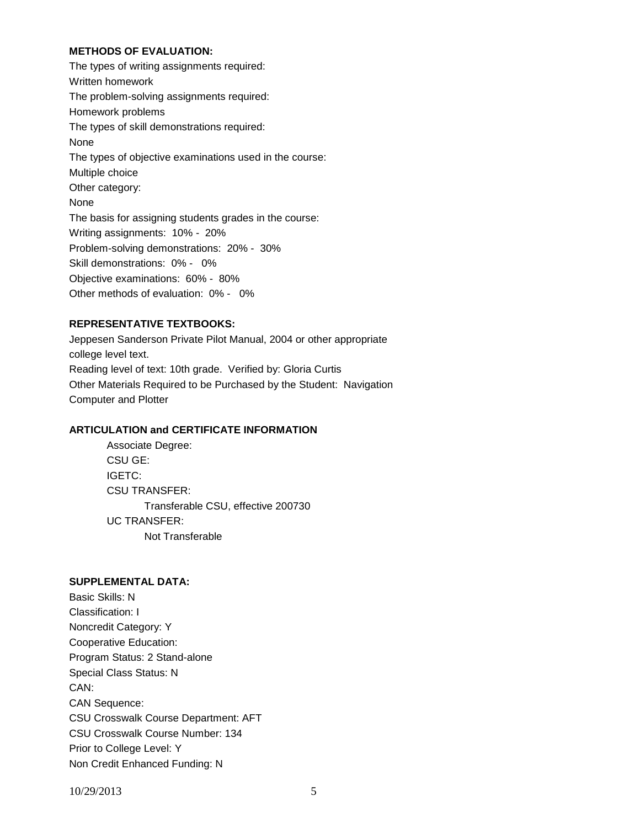### **METHODS OF EVALUATION:**

The types of writing assignments required: Written homework The problem-solving assignments required: Homework problems The types of skill demonstrations required: None The types of objective examinations used in the course: Multiple choice Other category: None The basis for assigning students grades in the course: Writing assignments: 10% - 20% Problem-solving demonstrations: 20% - 30% Skill demonstrations: 0% - 0% Objective examinations: 60% - 80% Other methods of evaluation: 0% - 0%

# **REPRESENTATIVE TEXTBOOKS:**

Jeppesen Sanderson Private Pilot Manual, 2004 or other appropriate college level text. Reading level of text: 10th grade. Verified by: Gloria Curtis Other Materials Required to be Purchased by the Student: Navigation Computer and Plotter

#### **ARTICULATION and CERTIFICATE INFORMATION**

Associate Degree: CSU GE: IGETC: CSU TRANSFER: Transferable CSU, effective 200730 UC TRANSFER: Not Transferable

### **SUPPLEMENTAL DATA:**

Basic Skills: N Classification: I Noncredit Category: Y Cooperative Education: Program Status: 2 Stand-alone Special Class Status: N CAN: CAN Sequence: CSU Crosswalk Course Department: AFT CSU Crosswalk Course Number: 134 Prior to College Level: Y Non Credit Enhanced Funding: N

10/29/2013 5